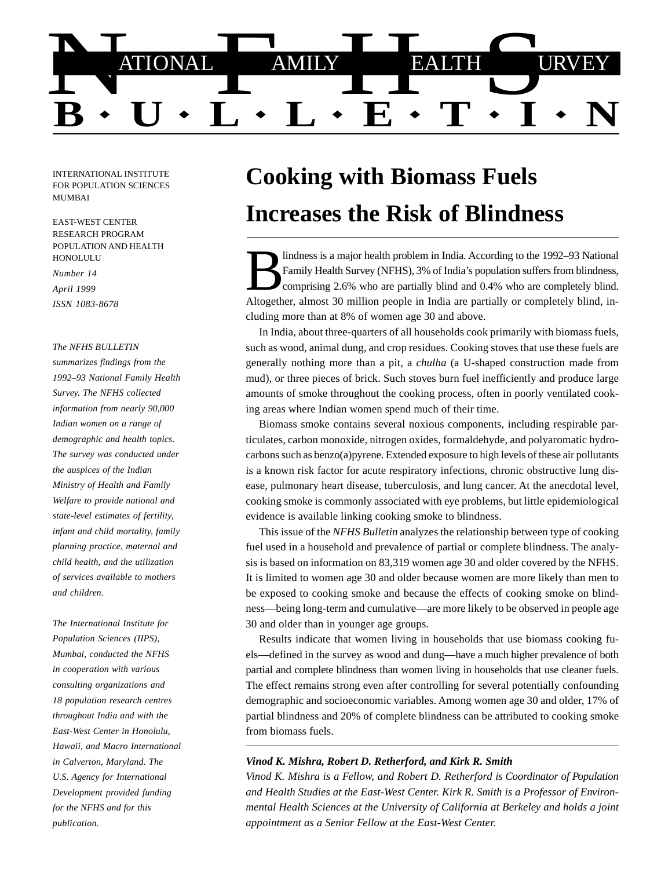

INTERNATIONAL INSTITUTE FOR POPULATION SCIENCES MUMBAI

EAST-WEST CENTER RESEARCH PROGRAM POPULATION AND HEALTH HONOLULU

*Number 14 April 1999 ISSN 1083-8678*

#### *The NFHS BULLETIN*

*summarizes findings from the 1992–93 National Family Health Survey. The NFHS collected information from nearly 90,000 Indian women on a range of demographic and health topics. The survey was conducted under the auspices of the Indian Ministry of Health and Family Welfare to provide national and state-level estimates of fertility, infant and child mortality, family planning practice, maternal and child health, and the utilization of services available to mothers and children.*

*The International Institute for Population Sciences (IIPS), Mumbai, conducted the NFHS in cooperation with various consulting organizations and 18 population research centres throughout India and with the East-West Center in Honolulu, Hawaii, and Macro International in Calverton, Maryland. The U.S. Agency for International Development provided funding for the NFHS and for this publication.*

# **Cooking with Biomass Fuels Increases the Risk of Blindness**

Indness is a major health problem in India. According to the 1992–93 National Family Health Survey (NFHS), 3% of India's population suffers from blindness, comprising 2.6% who are partially blind and 0.4% who are completel cluding more than at 8% of women age 30 and above. lindness is a major health problem in India. According to the 1992–93 National Family Health Survey (NFHS), 3% of India's population suffers from blindness, comprising 2.6% who are partially blind and 0.4% who are completely blind.

In India, about three-quarters of all households cook primarily with biomass fuels, such as wood, animal dung, and crop residues. Cooking stoves that use these fuels are generally nothing more than a pit, a *chulha* (a U-shaped construction made from mud), or three pieces of brick. Such stoves burn fuel inefficiently and produce large amounts of smoke throughout the cooking process, often in poorly ventilated cooking areas where Indian women spend much of their time.

Biomass smoke contains several noxious components, including respirable particulates, carbon monoxide, nitrogen oxides, formaldehyde, and polyaromatic hydrocarbons such as benzo(a)pyrene. Extended exposure to high levels of these air pollutants is a known risk factor for acute respiratory infections, chronic obstructive lung disease, pulmonary heart disease, tuberculosis, and lung cancer. At the anecdotal level, cooking smoke is commonly associated with eye problems, but little epidemiological evidence is available linking cooking smoke to blindness.

This issue of the *NFHS Bulletin* analyzes the relationship between type of cooking fuel used in a household and prevalence of partial or complete blindness. The analysis is based on information on 83,319 women age 30 and older covered by the NFHS. It is limited to women age 30 and older because women are more likely than men to be exposed to cooking smoke and because the effects of cooking smoke on blindness—being long-term and cumulative—are more likely to be observed in people age 30 and older than in younger age groups.

Results indicate that women living in households that use biomass cooking fuels—defined in the survey as wood and dung—have a much higher prevalence of both partial and complete blindness than women living in households that use cleaner fuels. The effect remains strong even after controlling for several potentially confounding demographic and socioeconomic variables. Among women age 30 and older, 17% of partial blindness and 20% of complete blindness can be attributed to cooking smoke from biomass fuels.

### *Vinod K. Mishra, Robert D. Retherford, and Kirk R. Smith*

*Vinod K. Mishra is a Fellow, and Robert D. Retherford is Coordinator of Population and Health Studies at the East-West Center. Kirk R. Smith is a Professor of Environmental Health Sciences at the University of California at Berkeley and holds a joint appointment as a Senior Fellow at the East-West Center.*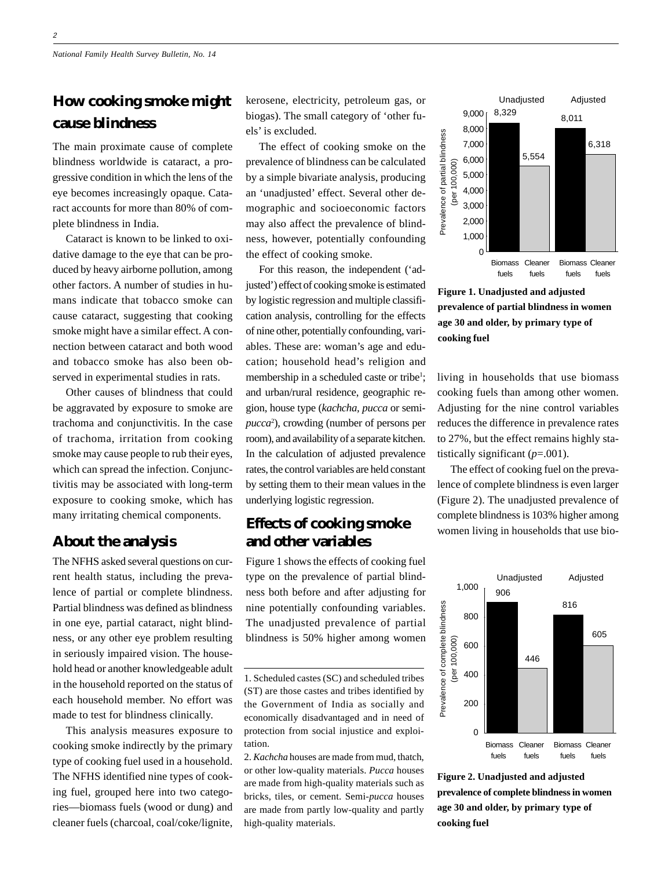# **How cooking smoke might cause blindness**

The main proximate cause of complete blindness worldwide is cataract, a progressive condition in which the lens of the eye becomes increasingly opaque. Cataract accounts for more than 80% of complete blindness in India.

Cataract is known to be linked to oxidative damage to the eye that can be produced by heavy airborne pollution, among other factors. A number of studies in humans indicate that tobacco smoke can cause cataract, suggesting that cooking smoke might have a similar effect. A connection between cataract and both wood and tobacco smoke has also been observed in experimental studies in rats.

Other causes of blindness that could be aggravated by exposure to smoke are trachoma and conjunctivitis. In the case of trachoma, irritation from cooking smoke may cause people to rub their eyes, which can spread the infection. Conjunctivitis may be associated with long-term exposure to cooking smoke, which has many irritating chemical components.

## **About the analysis**

The NFHS asked several questions on current health status, including the prevalence of partial or complete blindness. Partial blindness was defined as blindness in one eye, partial cataract, night blindness, or any other eye problem resulting in seriously impaired vision. The household head or another knowledgeable adult in the household reported on the status of each household member. No effort was made to test for blindness clinically.

This analysis measures exposure to cooking smoke indirectly by the primary type of cooking fuel used in a household. The NFHS identified nine types of cooking fuel, grouped here into two categories—biomass fuels (wood or dung) and cleaner fuels (charcoal, coal/coke/lignite, kerosene, electricity, petroleum gas, or biogas). The small category of 'other fuels' is excluded.

The effect of cooking smoke on the prevalence of blindness can be calculated by a simple bivariate analysis, producing an 'unadjusted' effect. Several other demographic and socioeconomic factors may also affect the prevalence of blindness, however, potentially confounding the effect of cooking smoke.

For this reason, the independent ('adjusted') effect of cooking smoke is estimated by logistic regression and multiple classification analysis, controlling for the effects of nine other, potentially confounding, variables. These are: woman's age and education; household head's religion and membership in a scheduled caste or tribe<sup>1</sup>; and urban/rural residence, geographic region, house type (*kachcha, pucca* or semi*pucca*<sup>2</sup> ), crowding (number of persons per room), and availability of a separate kitchen. In the calculation of adjusted prevalence rates, the control variables are held constant by setting them to their mean values in the underlying logistic regression.

# **Effects of cooking smoke and other variables**

Figure 1 shows the effects of cooking fuel type on the prevalence of partial blindness both before and after adjusting for nine potentially confounding variables. The unadjusted prevalence of partial blindness is 50% higher among women



**Figure 1. Unadjusted and adjusted prevalence of partial blindness in women age 30 and older, by primary type of cooking fuel**

living in households that use biomass cooking fuels than among other women. Adjusting for the nine control variables reduces the difference in prevalence rates to 27%, but the effect remains highly statistically significant (*p*=.001).

The effect of cooking fuel on the prevalence of complete blindness is even larger (Figure 2). The unadjusted prevalence of complete blindness is 103% higher among women living in households that use bio-



**Figure 2. Unadjusted and adjusted prevalence of complete blindness in women age 30 and older, by primary type of cooking fuel**

<sup>1.</sup> Scheduled castes (SC) and scheduled tribes (ST) are those castes and tribes identified by the Government of India as socially and economically disadvantaged and in need of protection from social injustice and exploitation.

<sup>2.</sup> *Kachcha* houses are made from mud, thatch, or other low-quality materials. *Pucca* houses are made from high-quality materials such as bricks, tiles, or cement. Semi-*pucca* houses are made from partly low-quality and partly high-quality materials.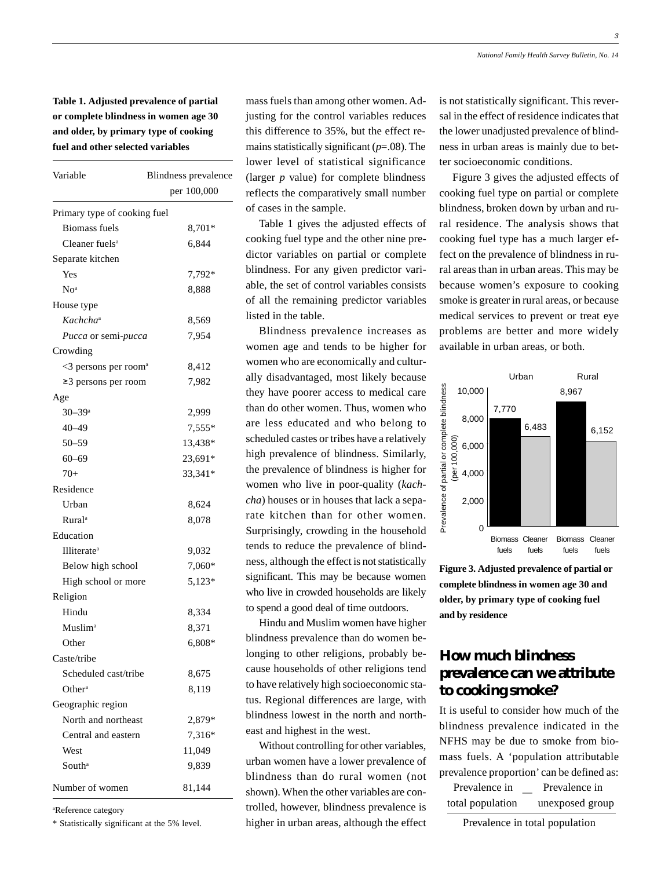**Table 1. Adjusted prevalence of partial or complete blindness in women age 30 and older, by primary type of cooking fuel and other selected variables**

| Variable                            | Blindness prevalence<br>per 100,000 |
|-------------------------------------|-------------------------------------|
|                                     |                                     |
| <b>Biomass fuels</b>                | 8,701*                              |
| Cleaner fuels <sup>a</sup>          | 6,844                               |
| Separate kitchen                    |                                     |
| Yes                                 | 7,792*                              |
| No <sup>a</sup>                     | 8,888                               |
| House type                          |                                     |
| Kachcha <sup>a</sup>                | 8,569                               |
| <i>Pucca</i> or semi- <i>pucca</i>  | 7,954                               |
| Crowding                            |                                     |
| $<$ 3 persons per room <sup>a</sup> | 8,412                               |
| ≥3 persons per room                 | 7,982                               |
| Age                                 |                                     |
| $30 - 39$ <sup>a</sup>              | 2,999                               |
| $40 - 49$                           | $7,555*$                            |
| $50 - 59$                           | 13,438*                             |
| $60 - 69$                           | 23,691*                             |
| $70+$                               | 33,341*                             |
| Residence                           |                                     |
| Urban                               | 8,624                               |
| <b>Rural</b> <sup>a</sup>           | 8,078                               |
| Education                           |                                     |
| Illiterate <sup>a</sup>             | 9,032                               |
| Below high school                   | 7,060*                              |
| High school or more                 | 5,123*                              |
| Religion                            |                                     |
| Hindu                               | 8,334                               |
| <b>Muslim</b> <sup>a</sup>          | 8,371                               |
| Other                               | 6,808*                              |
| Caste/tribe                         |                                     |
| Scheduled cast/tribe                | 8,675                               |
| Other <sup>a</sup>                  | 8,119                               |
| Geographic region                   |                                     |
| North and northeast                 | 2,879*                              |
| Central and eastern                 | 7,316*                              |
| West                                | 11,049                              |
| South <sup>a</sup>                  | 9,839                               |
| Number of women                     | 81,144                              |

a Reference category

\* Statistically significant at the 5% level.

mass fuels than among other women. Adjusting for the control variables reduces this difference to 35%, but the effect remains statistically significant (*p*=.08). The lower level of statistical significance (larger *p* value) for complete blindness reflects the comparatively small number of cases in the sample.

Table 1 gives the adjusted effects of cooking fuel type and the other nine predictor variables on partial or complete blindness. For any given predictor variable, the set of control variables consists of all the remaining predictor variables listed in the table.

Blindness prevalence increases as women age and tends to be higher for women who are economically and culturally disadvantaged, most likely because they have poorer access to medical care than do other women. Thus, women who are less educated and who belong to scheduled castes or tribes have a relatively high prevalence of blindness. Similarly, the prevalence of blindness is higher for women who live in poor-quality (*kachcha*) houses or in houses that lack a separate kitchen than for other women. Surprisingly, crowding in the household tends to reduce the prevalence of blindness, although the effect is not statistically significant. This may be because women who live in crowded households are likely to spend a good deal of time outdoors.

Hindu and Muslim women have higher blindness prevalence than do women belonging to other religions, probably because households of other religions tend to have relatively high socioeconomic status. Regional differences are large, with blindness lowest in the north and northeast and highest in the west.

Without controlling for other variables, urban women have a lower prevalence of blindness than do rural women (not shown). When the other variables are controlled, however, blindness prevalence is higher in urban areas, although the effect

is not statistically significant. This reversal in the effect of residence indicates that the lower unadjusted prevalence of blindness in urban areas is mainly due to better socioeconomic conditions.

Figure 3 gives the adjusted effects of cooking fuel type on partial or complete blindness, broken down by urban and rural residence. The analysis shows that cooking fuel type has a much larger effect on the prevalence of blindness in rural areas than in urban areas. This may be because women's exposure to cooking smoke is greater in rural areas, or because medical services to prevent or treat eye problems are better and more widely available in urban areas, or both.



**Figure 3. Adjusted prevalence of partial or complete blindness in women age 30 and older, by primary type of cooking fuel and by residence**

# **How much blindness prevalence can we attribute to cooking smoke?**

It is useful to consider how much of the blindness prevalence indicated in the NFHS may be due to smoke from biomass fuels. A 'population attributable prevalence proportion' can be defined as:

 Prevalence in Prevalence in total population unexposed group —

Prevalence in total population